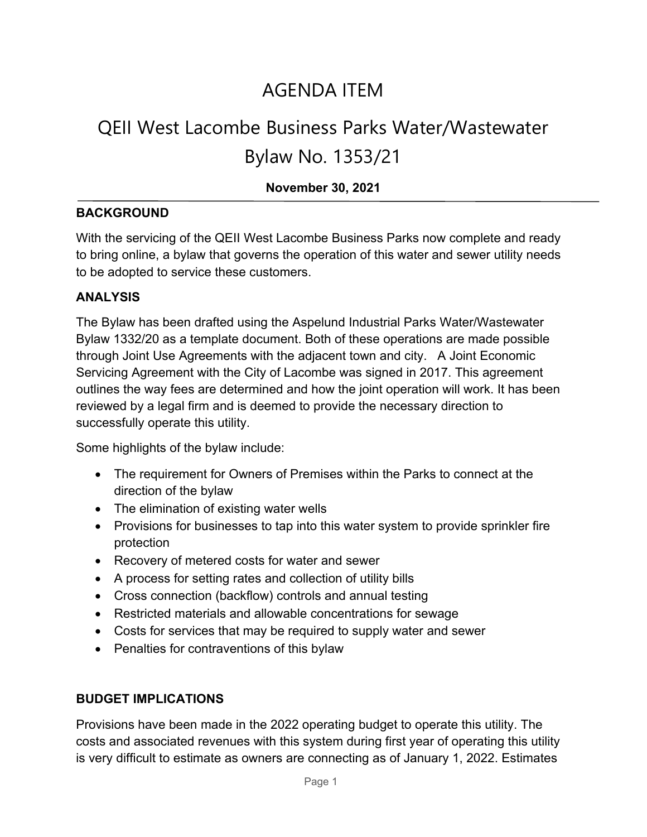### AGENDA ITEM

## QEII West Lacombe Business Parks Water/Wastewater Bylaw No. 1353/21

# **November 30, 2021**

#### **BACKGROUND**

With the servicing of the QEII West Lacombe Business Parks now complete and ready to bring online, a bylaw that governs the operation of this water and sewer utility needs to be adopted to service these customers.

#### **ANALYSIS**

The Bylaw has been drafted using the Aspelund Industrial Parks Water/Wastewater Bylaw 1332/20 as a template document. Both of these operations are made possible through Joint Use Agreements with the adjacent town and city. A Joint Economic Servicing Agreement with the City of Lacombe was signed in 2017. This agreement outlines the way fees are determined and how the joint operation will work. It has been reviewed by a legal firm and is deemed to provide the necessary direction to successfully operate this utility.

Some highlights of the bylaw include:

- The requirement for Owners of Premises within the Parks to connect at the direction of the bylaw
- The elimination of existing water wells
- Provisions for businesses to tap into this water system to provide sprinkler fire protection
- Recovery of metered costs for water and sewer
- A process for setting rates and collection of utility bills
- Cross connection (backflow) controls and annual testing
- Restricted materials and allowable concentrations for sewage
- Costs for services that may be required to supply water and sewer
- Penalties for contraventions of this bylaw

#### **BUDGET IMPLICATIONS**

Provisions have been made in the 2022 operating budget to operate this utility. The costs and associated revenues with this system during first year of operating this utility is very difficult to estimate as owners are connecting as of January 1, 2022. Estimates